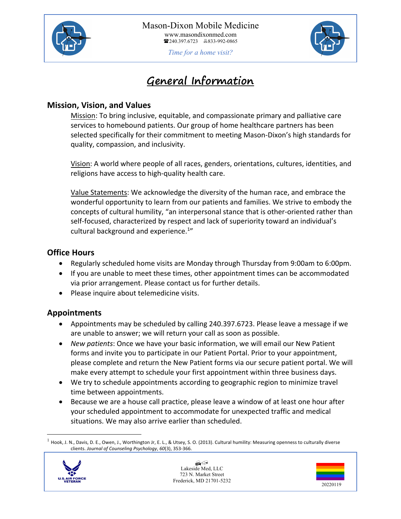



*Time for a home visit?*

# **General Information**

## **Mission, Vision, and Values**

Mission: To bring inclusive, equitable, and compassionate primary and palliative care services to homebound patients. Our group of home healthcare partners has been selected specifically for their commitment to meeting Mason-Dixon's high standards for quality, compassion, and inclusivity.

Vision: A world where people of all races, genders, orientations, cultures, identities, and religions have access to high-quality health care.

Value Statements: We acknowledge the diversity of the human race, and embrace the wonderful opportunity to learn from our patients and families. We strive to embody the concepts of cultural humility, "an interpersonal stance that is other-oriented rather than self-focused, characterized by respect and lack of superiority toward an individual's cultural background and experience.<sup>1"</sup>

## **Office Hours**

- Regularly scheduled home visits are Monday through Thursday from 9:00am to 6:00pm.
- If you are unable to meet these times, other appointment times can be accommodated via prior arrangement. Please contact us for further details.
- Please inquire about telemedicine visits.

# **Appointments**

- Appointments may be scheduled by calling 240.397.6723. Please leave a message if we are unable to answer; we will return your call as soon as possible.
- *New patients*: Once we have your basic information, we will email our New Patient forms and invite you to participate in our Patient Portal. Prior to your appointment, please complete and return the New Patient forms via our secure patient portal. We will make every attempt to schedule your first appointment within three business days.
- We try to schedule appointments according to geographic region to minimize travel time between appointments.
- Because we are a house call practice, please leave a window of at least one hour after your scheduled appointment to accommodate for unexpected traffic and medical situations. We may also arrive earlier than scheduled.

 $<sup>1</sup>$  Hook, J. N., Davis, D. E., Owen, J., Worthington Jr, E. L., & Utsey, S. O. (2013). Cultural humility: Measuring openness to culturally diverse</sup> clients. *Journal of Counseling Psychology*, *60*(3), 353-366.



 $\mathbb{H}^{\bigotimes}$ Lakeside Med, LLC 723 N. Market Street Frederick, MD 21701-5232

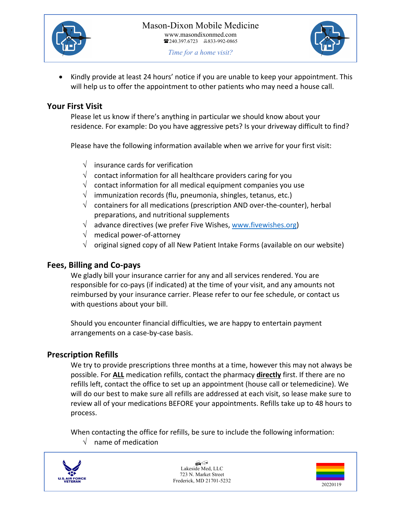



- *Time for a home visit?*
- Kindly provide at least 24 hours' notice if you are unable to keep your appointment. This will help us to offer the appointment to other patients who may need a house call.

## **Your First Visit**

Please let us know if there's anything in particular we should know about your residence. For example: Do you have aggressive pets? Is your driveway difficult to find?

Please have the following information available when we arrive for your first visit:

- $\sqrt{\phantom{a}}$  insurance cards for verification
- $\sqrt{\phantom{a}}$  contact information for all healthcare providers caring for you
- $\sqrt{\phantom{a}}$  contact information for all medical equipment companies you use
- $\sqrt{\ }$  immunization records (flu, pneumonia, shingles, tetanus, etc.)
- $\sqrt{\phantom{a}}$  containers for all medications (prescription AND over-the-counter), herbal preparations, and nutritional supplements
- $\sqrt{\phantom{a}}$  advance directives (we prefer Five Wishes, www.fivewishes.org)
- $\sqrt{\phantom{a}}$  medical power-of-attorney
- $\sqrt{\phantom{a}}$  original signed copy of all New Patient Intake Forms (available on our website)

#### **Fees, Billing and Co-pays**

We gladly bill your insurance carrier for any and all services rendered. You are responsible for co-pays (if indicated) at the time of your visit, and any amounts not reimbursed by your insurance carrier. Please refer to our fee schedule, or contact us with questions about your bill.

Should you encounter financial difficulties, we are happy to entertain payment arrangements on a case-by-case basis.

#### **Prescription Refills**

We try to provide prescriptions three months at a time, however this may not always be possible. For **ALL** medication refills, contact the pharmacy **directly** first. If there are no refills left, contact the office to set up an appointment (house call or telemedicine). We will do our best to make sure all refills are addressed at each visit, so lease make sure to review all of your medications BEFORE your appointments. Refills take up to 48 hours to process.

When contacting the office for refills, be sure to include the following information:

 $\sqrt{ }$  name of medication



 $\mathbb{H}^{\bigotimes}$ Lakeside Med, LLC 723 N. Market Street Frederick, MD 21701-5232